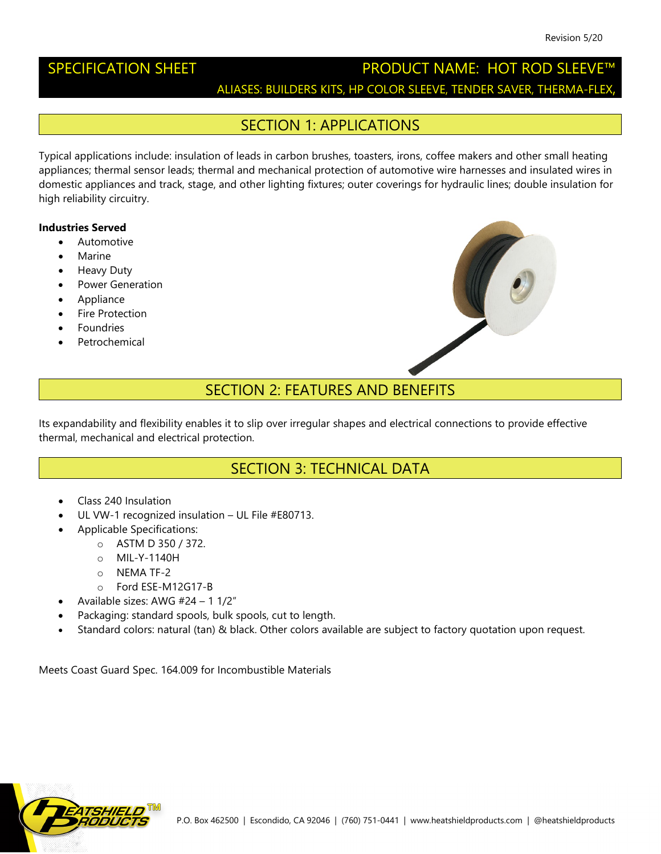### SPECIFICATION SHEET **Example 20 PRODUCT NAME:** HOT ROD SLEEVE™ ALIASES: BUILDERS KITS, HP COLOR SLEEVE, TENDER SAVER, THERMA-FLEX,

#### SECTION 1: APPLICATIONS

Typical applications include: insulation of leads in carbon brushes, toasters, irons, coffee makers and other small heating appliances; thermal sensor leads; thermal and mechanical protection of automotive wire harnesses and insulated wires in domestic appliances and track, stage, and other lighting fixtures; outer coverings for hydraulic lines; double insulation for high reliability circuitry.

#### **Industries Served**

- Automotive
- **Marine**
- Heavy Duty
- Power Generation
- Appliance
- **Fire Protection**
- **Foundries**
- **Petrochemical**



#### SECTION 2: FEATURES AND BENEFITS

Its expandability and flexibility enables it to slip over irregular shapes and electrical connections to provide effective thermal, mechanical and electrical protection.

#### SECTION 3: TECHNICAL DATA

- Class 240 Insulation
- UL VW-1 recognized insulation UL File #E80713.
	- Applicable Specifications:
		- o ASTM D 350 / 372.
		- o MIL-Y-1140H
		- o NEMA TF-2
		- o Ford ESE-M12G17-B
- Available sizes: AWG #24 1 1/2"
- Packaging: standard spools, bulk spools, cut to length.
- Standard colors: natural (tan) & black. Other colors available are subject to factory quotation upon request.

Meets Coast Guard Spec. 164.009 for Incombustible Materials

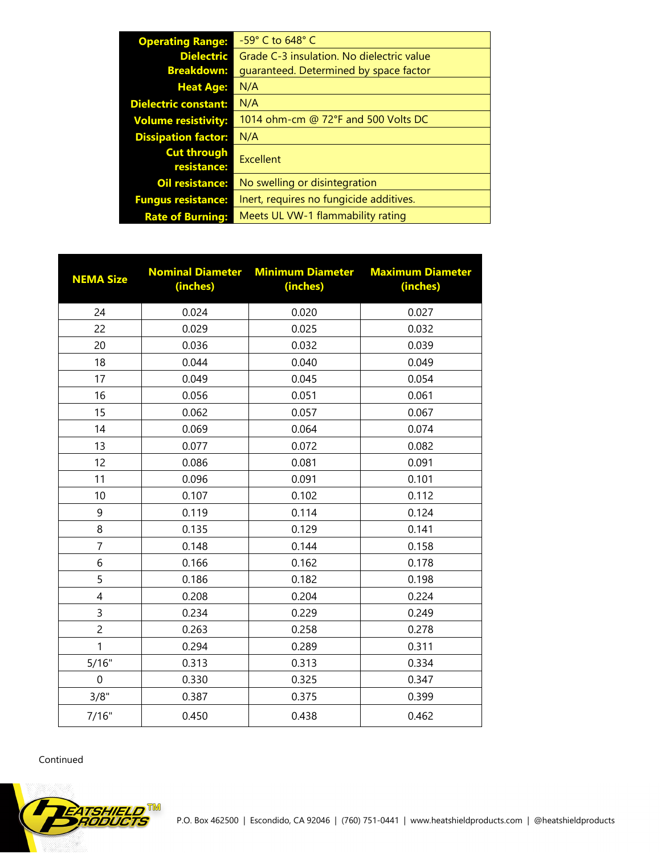| <b>Operating Range:</b>           | $-59^\circ$ C to 648 $^\circ$ C           |  |  |  |
|-----------------------------------|-------------------------------------------|--|--|--|
| <b>Dielectric</b>                 | Grade C-3 insulation. No dielectric value |  |  |  |
| <b>Breakdown:</b>                 | quaranteed. Determined by space factor    |  |  |  |
| <b>Heat Age:</b>                  | N/A                                       |  |  |  |
| <b>Dielectric constant:</b>       | N/A                                       |  |  |  |
| <b>Volume resistivity:</b>        | 1014 ohm-cm @ 72°F and 500 Volts DC       |  |  |  |
| <b>Dissipation factor:</b>        | N/A                                       |  |  |  |
| <b>Cut through</b><br>resistance: | Excellent                                 |  |  |  |
| <b>Oil resistance:</b>            | No swelling or disintegration             |  |  |  |
| <b>Fungus resistance:</b>         | Inert, requires no fungicide additives.   |  |  |  |
| <b>Rate of Burning:</b>           | Meets UL VW-1 flammability rating         |  |  |  |

| <b>NEMA Size</b> | <b>Nominal Diameter</b><br>(inches) | <b>Minimum Diameter</b><br>(inches) | <b>Maximum Diameter</b><br>(inches) |
|------------------|-------------------------------------|-------------------------------------|-------------------------------------|
| 24               | 0.024                               | 0.020                               | 0.027                               |
| 22               | 0.029                               | 0.025                               | 0.032                               |
| 20               | 0.036                               | 0.032                               | 0.039                               |
| 18               | 0.044                               | 0.040                               | 0.049                               |
| 17               | 0.049                               | 0.045                               | 0.054                               |
| 16               | 0.056                               | 0.051                               | 0.061                               |
| 15               | 0.062                               | 0.057                               | 0.067                               |
| 14               | 0.069                               | 0.064                               | 0.074                               |
| 13               | 0.077                               | 0.072                               | 0.082                               |
| 12               | 0.086                               | 0.081                               | 0.091                               |
| 11               | 0.096                               | 0.091                               | 0.101                               |
| 10               | 0.107                               | 0.102                               | 0.112                               |
| 9                | 0.119                               | 0.114                               | 0.124                               |
| 8                | 0.135                               | 0.129                               | 0.141                               |
| $\overline{7}$   | 0.148                               | 0.144                               | 0.158                               |
| 6                | 0.166                               | 0.162                               | 0.178                               |
| 5                | 0.186                               | 0.182                               | 0.198                               |
| $\overline{4}$   | 0.208                               | 0.204                               | 0.224                               |
| 3                | 0.234                               | 0.229                               | 0.249                               |
| $\overline{c}$   | 0.263                               | 0.258                               | 0.278                               |
| 1                | 0.294                               | 0.289                               | 0.311                               |
| 5/16"            | 0.313                               | 0.313                               | 0.334                               |
| 0                | 0.330                               | 0.325                               | 0.347                               |
| 3/8"             | 0.387                               | 0.375                               | 0.399                               |
| 7/16"            | 0.450                               | 0.438                               | 0.462                               |

Continued